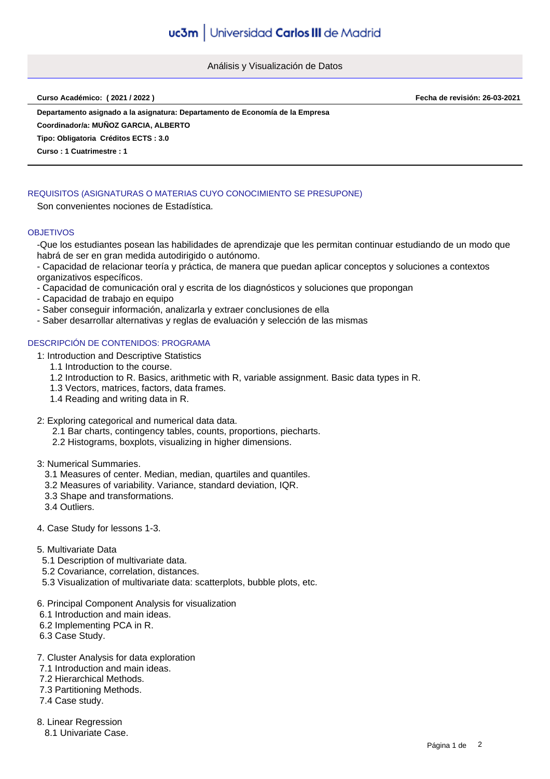Análisis y Visualización de Datos

**Curso Académico: ( 2021 / 2022 ) Fecha de revisión: 26-03-2021**

**Departamento asignado a la asignatura: Departamento de Economía de la Empresa**

**Coordinador/a: MUÑOZ GARCIA, ALBERTO**

**Tipo: Obligatoria Créditos ECTS : 3.0**

**Curso : 1 Cuatrimestre : 1**

# REQUISITOS (ASIGNATURAS O MATERIAS CUYO CONOCIMIENTO SE PRESUPONE)

Son convenientes nociones de Estadística.

#### **OBJETIVOS**

-Que los estudiantes posean las habilidades de aprendizaje que les permitan continuar estudiando de un modo que habrá de ser en gran medida autodirigido o autónomo.

- Capacidad de relacionar teoría y práctica, de manera que puedan aplicar conceptos y soluciones a contextos organizativos específicos.

- Capacidad de comunicación oral y escrita de los diagnósticos y soluciones que propongan
- Capacidad de trabajo en equipo
- Saber conseguir información, analizarla y extraer conclusiones de ella
- Saber desarrollar alternativas y reglas de evaluación y selección de las mismas

## DESCRIPCIÓN DE CONTENIDOS: PROGRAMA

- 1: Introduction and Descriptive Statistics
	- 1.1 Introduction to the course.
	- 1.2 Introduction to R. Basics, arithmetic with R, variable assignment. Basic data types in R.
	- 1.3 Vectors, matrices, factors, data frames.
	- 1.4 Reading and writing data in R.
- 2: Exploring categorical and numerical data data.
	- 2.1 Bar charts, contingency tables, counts, proportions, piecharts.
	- 2.2 Histograms, boxplots, visualizing in higher dimensions.

## 3: Numerical Summaries.

- 3.1 Measures of center. Median, median, quartiles and quantiles.
- 3.2 Measures of variability. Variance, standard deviation, IQR.
- 3.3 Shape and transformations.
- 3.4 Outliers.

#### 4. Case Study for lessons 1-3.

- 5. Multivariate Data
- 5.1 Description of multivariate data.
- 5.2 Covariance, correlation, distances.
- 5.3 Visualization of multivariate data: scatterplots, bubble plots, etc.
- 6. Principal Component Analysis for visualization
- 6.1 Introduction and main ideas.
- 6.2 Implementing PCA in R.
- 6.3 Case Study.
- 7. Cluster Analysis for data exploration
- 7.1 Introduction and main ideas.
- 7.2 Hierarchical Methods.
- 7.3 Partitioning Methods.
- 7.4 Case study.

8. Linear Regression

8.1 Univariate Case.